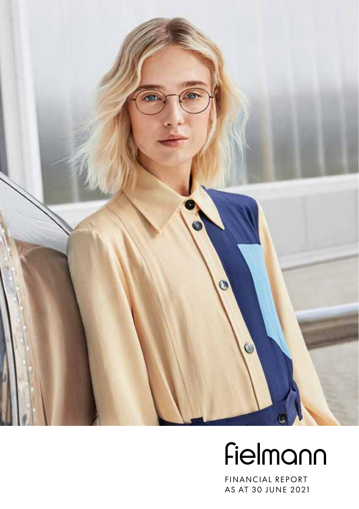

# Fielmann

FINANCIAL REPORT AS AT 30 JUNE 2021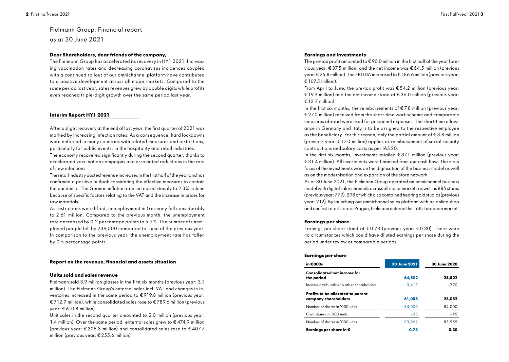# Fielmann Group: Financial report as at 30 June 2021

## **Dear Shareholders, dear friends of the company,**

The Fielmann Group has accelerated its recovery in HY1 2021. Increasing vaccination rates and decreasing coronavirus incidences coupled with a continued rollout of our omnichannel platform have contributed to a positive development across all major markets. Compared to the same period last year, sales revenues grew by double digits while profits even reached triple-digit growth over the same period last year.

## **Interim Report HY1 2021**

After a slight recovery at the end of last year, the first quarter of 2021 was marked by increasing infection rates. As a consequence, hard lockdowns were enforced in many countries with related measures and restrictions, particularly for public events, in the hospitality and retail industries.

The economy recovered significantly during the second quarter, thanks to accelerated vaccination campaigns and associated reductions in the rate of new infections.

The retail industry posted revenue increases in the first half of the year and has confirmed a positive outlook considering the effective measures to contain the pandemic. The German inflation rate increased steeply to 2.3% in June because of specific factors relating to the VAT and the increase in prices for raw materials.

As restrictions were lifted, unemployment in Germany fell considerably to 2.61 million. Compared to the previous month, the unemployment rate decreased by 0.2 percentage points to 5.7%. The number of unemployed people fell by 239,000 compared to June of the previous year. In comparison to the previous year, the unemployment rate has fallen by 0.5 percentage points.

## **Report on the revenue, financial and assets situation**

## **Units sold and sales revenue**

Fielmann sold 3.9 million glasses in the first six months (previous year: 3.1 million). The Fielmann Group's external sales incl. VAT and changes in inventories increased in the same period to € 919.8 million (previous year: € 712.7 million), while consolidated sales rose to € 789.6 million (previous year: € 610.8 million).

Unit sales in the second quarter amounted to 2.0 million (previous year: 1.4 million). Over the same period, external sales grew to  $\epsilon$  474.9 million (previous year:  $\epsilon$ 305.3 million) and consolidated sales rose to  $\epsilon$ 407.7 million (previous year: € 255.6 million).

## **Earnings and investments**

The pre-tax profit amounted to  $\epsilon$  96.0 million in the first half of the year (previous year: € 37.5 million) and the net income was € 64.5 million (previous year: € 25.8 million). The EBITDA increased to € 186.6 million (previous year: € 107.5 million).

From April to June, the pre-tax profit was  $\epsilon$  54.2 million (previous year: € 19.9 million) and the net income stood at € 36.0 million (previous year:  $£ 13.7$  million).

In the first six months, the reimbursements of  $\epsilon$  7.8 million (previous year: € 27.0 million) received from the short-time work scheme and comparable measures abroad were used for personnel expenses. The short-time allowance in Germany and Italy is to be assigned to the respective employee as the beneficiary. For this reason, only the partial amount of € 3.8 million (previous year: € 17.0 million) applies as reimbursement of social security contributions and salary costs as per IAS 20.

In the first six months, investments totalled  $\epsilon$ 37.1 million (previous year: € 31.4 million). All investments were financed from our cash flow. The main focus of the investments was on the digitisation of the business model as well as on the modernisation and expansion of the store network.

As at 30 June 2021, the Fielmann Group operated an omnichannel business model with digital sales channels across all major markets as well as 885 stores (previous year: 779), 298 of which also contained hearing aid studios (previous year: 212). By launching our omnichannel sales platform with an online shop and our first retail store in Prague, Fielmann entered the 16th European market.

## **Earnings per share**

Earnings per share stand at  $\epsilon$  0.73 (previous year:  $\epsilon$  0.30). There were no circumstances which could have diluted earnings per share during the period under review or comparable periods.

## **Earnings per share**

| in €000s                                                  | 30 June 2021 | 30 June 2020 |  |  |
|-----------------------------------------------------------|--------------|--------------|--|--|
| <b>Consolidated net income for</b><br>the period          | 64,502       | 25,822       |  |  |
| Income attributable to other shareholders                 | $-3.417$     | $-770$       |  |  |
| Profits to be allocated to parent<br>company shareholders | 61,085       | 25,052       |  |  |
| Number of shares in '000 units                            | 84.000       | 84,000       |  |  |
| Own shares in '000 units                                  | $-38$        | $-45$        |  |  |
| Number of shares in '000 units                            | 83,962       | 83,955       |  |  |
| Earnings per share in $\bm{\epsilon}$                     | 0.73         | 0.30         |  |  |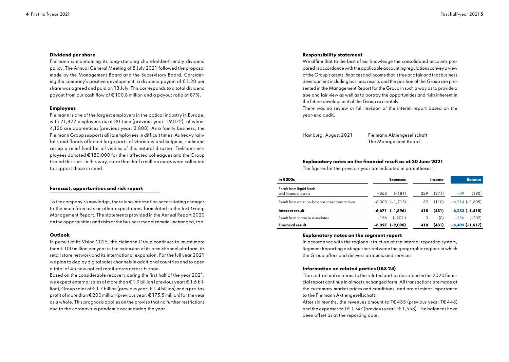## **Dividend per share**

Fielmann is maintaining its long-standing shareholder-friendly dividend policy. The Annual General Meeting of 8 July 2021 followed the proposal made by the Management Board and the Supervisory Board. Considering the company's positive development, a dividend payout of  $\epsilon$  1.20 per share was agreed and paid on 13 July. This corresponds to a total dividend payout from our cash flow of € 100.8 million and a payout ratio of 87%.

## **Employees**

Fielmann is one of the largest employers in the optical industry in Europe, with 21,427 employees as at 30 June (previous year: 19,872), of whom 4,126 are apprentices (previous year: 3,808). As a family business, the Fielmann Group supports all its employees in difficult times. As heavy rainfalls and floods affected large parts of Germany and Belgium, Fielmann set up a relief fund for all victims of this natural disaster. Fielmann employees donated € 180,000 for their affected colleagues and the Group tripled this sum. In this way, more than half a million euros were collected to support those in need.

## **Forecast, opportunities and risk report**

To the company's knowledge, there is no information necessitating changes to the main forecasts or other expectations formulated in the last Group Management Report. The statements provided in the Annual Report 2020 on the opportunities and risks of the business model remain unchanged, too.

#### **Outlook**

In pursuit of its Vision 2025, the Fielmann Group continues to invest more than € 100 million per year in the extension of its omnichannel platform, its retail store network and its international expansion. For the full year 2021 we plan to deploy digital sales channels in additional countries and to open a total of 45 new optical retail stores across Europe.

Based on the considerable recovery during the first half of the year 2021, we expect external sales of more than € 1.9 billion (previous year: € 1.6 billion), Group sales of € 1.7 billion (previous year: € 1.4 billion) and a pre-tax profit of more than € 200 million(previous year: € 175.5 million) for the year as a whole. This prognosis applies on the proviso that no further restrictions due to the coronavirus pandemic occur during the year.

## **Responsibility statement**

We affirm that to the best of our knowledge the consolidated accounts prepared in accordance with the applicable accounting regulations convey a view of the Group's assets, finances and income that is true and fair and that business development including business results and the position of the Group are presented in the Management Report for the Group in such a way as to provide a true and fair view as well as to portray the opportunities and risks inherent in the future development of the Group accurately.

There was no review or full revision of the interim report based on the year-end audit.

Hamburg, August 2021 Fielmann Aktiengesellschaft The Management Board

## **Explanatory notes on the financial result as at 30 June 2021**

The figures for the previous year are indicated in parentheses:

| in $€000s$                                       | <b>Expenses</b>       | Income       | <b>Balance</b>     |  |
|--------------------------------------------------|-----------------------|--------------|--------------------|--|
| Result from liquid funds<br>and financial assets | $(-181)$<br>$-368$    | (371)<br>329 | (190)<br>$-39$     |  |
| Result from other on-balance sheet transactions  | $-6,303$ $(-1,715)$   | (110)<br>89  | $-6.214(-1.605)$   |  |
| Interest result                                  | $-6,671$ ( $-1,896$ ) | (481)<br>418 | $-6,253(-1,415)$   |  |
| Result from shares in associates                 | $(-202)$<br>$-156$    | (0)<br>0     | $(-202)$<br>$-156$ |  |
| <b>Financial result</b>                          | (-2,098)<br>$-6.827$  | (481)<br>418 | $-6,409(-1,617)$   |  |

#### **Explanatory notes on the segment report**

In accordance with the regional structure of the internal reporting system, Segment Reporting distinguishes between the geographic regions in which the Group offers and delivers products and services.

## **Information on related parties (IAS 24)**

The contractual relations to the related parties described in the 2020 financial report continue in almost unchanged form. All transactions are made at the customary market prices and conditions, and are of minor importance to the Fielmann Aktiengesellschaft.

After six months, the revenues amount to T $\epsilon$ 435 (previous year: T $\epsilon$ 448) and the expenses to T€ 1,747 (previous year: T€ 1,553). The balances have been offset as at the reporting date.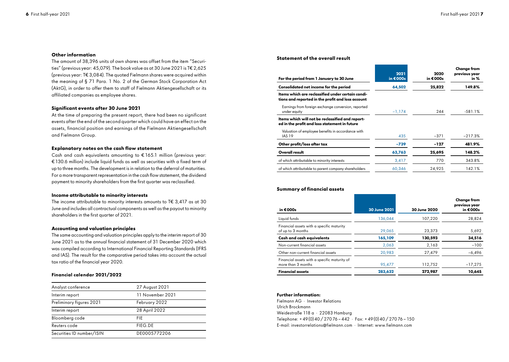## **Other information**

The amount of 38,396 units of own shares was offset from the item "Securities" (previous year: 45,079). The book value as at 30 June 2021 is T€ 2,625 (previous year: T€ 3,084). The quoted Fielmann shares were acquired within the meaning of § 71 Para. 1 No. 2 of the German Stock Corporation Act (AktG), in order to offer them to staff of Fielmann Aktiengesellschaft or its affiliated companies as employee shares.

## **Significant events after 30 June 2021**

At the time of preparing the present report, there had been no significant events after the end of the second quarter which could have an effect on the assets, financial position and earnings of the Fielmann Aktiengesellschaft and Fielmann Group.

## **Explanatory notes on the cash flow statement**

Cash and cash equivalents amounting to € 165.1 million (previous year: €130.6 million) include liquid funds as well as securities with a fixed term of up to three months. The development is in relation to the deferral of maturities. For a more transparent representation in the cash flow statement, the dividend payment to minority shareholders from the first quarter was reclassified.

## **Income attributable to minority interests**

The income attributable to minority interests amounts to T $\epsilon$  3.417 as at 30 June and includes all contractual components as well as the payout to minority shareholders in the first quarter of 2021.

## **Accounting and valuation principles**

The same accounting and valuation principles apply to the interim report of 30 June 2021 as to the annual financial statement of 31 December 2020 which was compiled according to International Financial Reporting Standards (IFRS and IAS). The result for the comparative period takes into account the actual tax ratio of the financial year 2020.

## **Financial calendar 2021/2022**

| Analyst conference        | 27 August 2021   |
|---------------------------|------------------|
| Interim report            | 11 November 2021 |
| Preliminary figures 2021  | February 2022    |
| Interim report            | 28 April 2022    |
| Bloomberg code            | FIF.             |
| Reuters code              | FIEG.DE          |
| Securities ID number/ISIN | DE0005772206     |

## **Statement of the overall result**

| 2021<br>in $€000s$ | 2020<br>in €000s | <b>Change from</b><br>previous year<br>in % |  |
|--------------------|------------------|---------------------------------------------|--|
| 64,502             | 25,822           | 149.8%                                      |  |
|                    |                  |                                             |  |
| $-1,174$           | 244              | $-581.1%$                                   |  |
|                    |                  |                                             |  |
| 435                | $-371$           | $-217.3%$                                   |  |
| $-739$             | $-127$           | 481.9%                                      |  |
| 63,763             | 25,695           | 148.2%                                      |  |
| 3,417              | 770              | 343.8%                                      |  |
| 60.346             | 24.925           | 142.1%                                      |  |
|                    |                  |                                             |  |

## **Summary of financial assets**

| in €000s                                                           | 30 June 2021 | 30 June 2020 | <b>Change from</b><br>previous year<br>in €000s |
|--------------------------------------------------------------------|--------------|--------------|-------------------------------------------------|
| Liquid funds                                                       | 136.044      | 107,220      | 28,824                                          |
| Financial assets with a specific maturity<br>of up to 3 months     | 29,065       | 23,373       | 5,692                                           |
| Cash and cash equivalents                                          | 165,109      | 130,593      | 34,516                                          |
| Non-current financial assets                                       | 2,063        | 2,163        | $-100$                                          |
| Other non-current financial assets                                 | 20,983       | 27,479       | $-6,496$                                        |
| Financial assets with a specific maturity of<br>more than 3 months | 95,477       | 112,752      | $-17,275$                                       |
| <b>Financial assets</b>                                            | 283,632      | 272,987      | 10,645                                          |

## **Further information:**

Fielmann AG · Investor Relations Ulrich Brockmann Weidestraße 118 a · 22083 Hamburg Telephone: +49(0)40/27076 - 442 · Fax: +49(0)40/27076 - 150 E-mail: investorrelations@fielmann.com · Internet: www.fielmann.com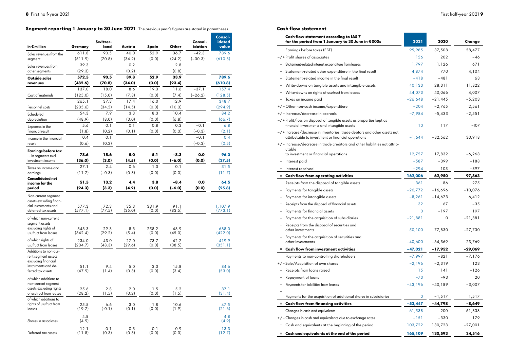# Segment reporting 1 January to 30 June 2021 The previous year's figures are stated in parentheses.

| in € million                                                                                                    | Germany          | Switzer-<br>land | Austria        | Spain          | Other          | Consol-<br>idation | Consol-<br>idated<br>value |
|-----------------------------------------------------------------------------------------------------------------|------------------|------------------|----------------|----------------|----------------|--------------------|----------------------------|
| Sales revenues from the                                                                                         | 611.8            | 90.5             | 40.0           | 52.9           | 36.7           | $-42.3$            | 789.6                      |
| segment                                                                                                         | (511.9)          | (70.8)           | (34.2)         | (0.0)          | (24.2)         | $(-30.3)$          | (610.8)                    |
| Sales revenues from                                                                                             | 39.3             |                  | 0.2            |                | 2.8            |                    |                            |
| other segments                                                                                                  | (29.3)           |                  | (0.2)          |                | (0.8)          |                    |                            |
| Outside sales                                                                                                   | 572.5            | 90.5             | 39.8           | 52.9           | 33.9           |                    | 789.6                      |
| revenues                                                                                                        | (482.6)          | (70.8)           | (34.0)         | (0.0)          | (23.4)         |                    | (610.8)                    |
|                                                                                                                 | 137.0            | 18.0             | 8.6            | 19.3           | 11.6           | $-37.1$            | 157.4                      |
| Cost of materials                                                                                               | (125.0)          | (15.0)           | (7.3)          | (0.0)          | (7.4)          | $(-26.2)$          | (128.5)                    |
|                                                                                                                 | 265.1            | 37.3             | 17.4           | 16.0           | 12.9           |                    | 348.7                      |
| Personnel costs                                                                                                 | (235.6)          | (34.5)           | (14.5)         | (0.0)          | (10.3)         |                    | (294.9)                    |
| Scheduled                                                                                                       | 54.3             | 7.9              | 3.3            | 8.3            | 10.4           |                    | 84.2                       |
| depreciation                                                                                                    | (48.9)           | (8.0)            | (3.0)          | (0.0)          | (6.8)          |                    | (66.7)                     |
| Expenses in the                                                                                                 | 5.6              | 0.1              | 0.1            | 0.8            | 0.3            | $-0.1$             | 6.8                        |
| financial result                                                                                                | (1.8)            | (0.2)            | (0.1)          | (0.0)          | (0.3)          | $(-0.3)$           | (2.1)                      |
| Income in the financial                                                                                         | 0.4              | 0.1              |                |                |                | $-0.1$             | 0.4                        |
| result                                                                                                          | (0.6)            | (0.2)            |                |                |                | $(-0.3)$           | (0.5)                      |
| <b>Earnings before tax</b><br>- in segments excl.                                                               | 78.6             | 15.6             | 5.0            | 5.1            | $-8.3$         | 0.0                | 96.0                       |
| investment income                                                                                               | (36.0)           | (3.0)            | (4.5)          | (0.0)          | $(-6.0)$       | (0.0)              | (37.5)                     |
| Taxes on income and                                                                                             | 27.1             | 2.4              | 0.6            | 1.3            | 0.1            |                    | 31.5                       |
| earnings                                                                                                        | (11.7)           | $(-0.3)$         | (0.3)          | (0.0)          | (0.0)          |                    | (11.7)                     |
| <b>Consolidated net</b><br>income for the                                                                       | 51.5             | 13.2             | 4.4            | 3.8            | $-8.4$         | 0.0                | 64.5                       |
| period                                                                                                          | (24.3)           | (3.3)            | (4.2)          | (0.0)          | $(-6.0)$       | (0.0)              | (25.8)                     |
| Non-current segment<br>assets excluding finan-<br>cial instruments and<br>deferred tax assets                   | 577.3<br>(577.1) | 72.3<br>(77.5)   | 35.3<br>(35.0) | 331.9<br>(0.0) | 91.1<br>(83.5) |                    | 1,107.9<br>(773.1)         |
| of which non-current<br>segment assets                                                                          |                  |                  |                |                |                |                    |                            |
| excluding rights of<br>usufruct from leases                                                                     | 343.3<br>(342.4) | 29.3<br>(29.2)   | 8.3<br>(5.4)   | 258.2<br>(0.0) | 48.9<br>(45.0) |                    | 688.0<br>(422.0)           |
| of which rights of<br>usufruct from leases                                                                      | 234.0<br>(234.7) | 43.0<br>(48.3)   | 27.0<br>(29.6) | 73.7<br>(0.0)  | 42.2<br>(38.5) |                    | 419.9<br>(351.1)           |
| Additions to non-cur-<br>rent seament assets<br>excluding financial<br>instruments and de-<br>ferred tax assets | 51.1<br>(47.9)   | 9.4<br>(1.4)     | 5.0<br>(0.3)   | 3.3<br>(0.0)   | 15.8<br>(3.4)  |                    | 84.6<br>(53.0)             |
| of which additions to<br>non-current segment<br>assets excluding rights<br>of usufruct from leases              | 25.6<br>(28.2)   | 2.8<br>(1.5)     | 2.0<br>(0.2)   | 1.5<br>(0, 0)  | 5.2<br>(1.5)   |                    | 37.1<br>(31.4)             |
| of which additions to<br>rights of usufruct from<br>leases                                                      | 25.5<br>(19.7)   | 6.6<br>$(-0.1)$  | 3.0<br>(0.1)   | 1.8<br>(0.0)   | 10.6<br>(1.9)  |                    | 47.5<br>(21.6)             |
| Shares in associates                                                                                            | 4.8<br>(4.9)     |                  |                |                |                |                    | 4.8<br>(4.9)               |
| Deferred tax assets                                                                                             | 12.1<br>(11.8)   | $-0.1$<br>(0.3)  | 0.3<br>(0.3)   | 0.1<br>(0.0)   | 0.9<br>(0.3)   |                    | 13.3<br>(12.7)             |

## **Cash flow statement**

| Cash flow statement according to IAS 7<br>for the period from 1 January to 30 June in €000s                                    | 2021      | 2020      | Change    |
|--------------------------------------------------------------------------------------------------------------------------------|-----------|-----------|-----------|
| Earnings before taxes (EBT)                                                                                                    | 95,985    | 37,508    | 58,477    |
| -/+ Profit shares of associates                                                                                                | 156       | 202       | $-46$     |
| Statement-related interest expenditure from leases                                                                             | 1,797     | 1,126     | 671       |
| Statement-related other expenditure in the final result<br>$\ddot{}$                                                           | 4,874     | 770       | 4,104     |
| Statement-related income in the final result                                                                                   | $-418$    | $-481$    | 63        |
| Write-downs on tangible assets and intangible assets                                                                           | 40,133    | 28,311    | 11,822    |
| Write-downs on rights of usufruct from leases                                                                                  | 44,073    | 40,066    | 4,007     |
| Taxes on income paid                                                                                                           | $-26,648$ | $-21,445$ | $-5,203$  |
| +/-Other non-cash income/expenditure                                                                                           | $-204$    | $-2,765$  | 2,561     |
| +/-Increase/decrease in accruals                                                                                               | $-7,984$  | $-5,433$  | $-2,551$  |
| $-\prime$ +Profit/loss on disposal of tangible assets as properties kept as<br>financial investments and intangible assets     | 10        | 117       | $-107$    |
| -/+ Increase/decrease in inventories, trade debtors and other assets not<br>attributable to investment or financial operations | $-1,644$  | $-32,562$ | 30,918    |
| +/-Increase/decrease in trade creditors and other liabilities not attrib-<br>utable                                            |           |           |           |
| to investment or financial operations                                                                                          | 12,757    | 17,832    | $-6,268$  |
| Interest paid                                                                                                                  | $-587$    | $-399$    | $-188$    |
| + Interest received                                                                                                            | $-294$    | 103       | $-397$    |
| = Cash flow from operating activities                                                                                          | 162,006   | 62,950    | 97,863    |
| Receipts from the disposal of tangible assets                                                                                  | 361       | 86        | 275       |
| Payments for tangible assets                                                                                                   | $-26,772$ | $-16,696$ | $-10,076$ |
| Payments for intangible assets                                                                                                 | $-8,261$  | $-14,673$ | 6,412     |
| Receipts from the disposal of financial assets                                                                                 | 32        | 67        | $-35$     |
| Payments for financial assets                                                                                                  | 0         | $-197$    | 197       |
| Payments for the acquisition of subsidiaries                                                                                   | $-21,881$ | $\circ$   | $-21,881$ |
| Receipts from the disposal of securities and<br>other investments                                                              | 50,100    | 77,830    | $-27,730$ |
| - Payments for the acquisition of securities and<br>other investments                                                          | $-40,600$ | $-64,369$ | 23,769    |
| = Cash flow from investment activities                                                                                         | $-47,021$ | -17,952   | -29,069   |
| Payments to non-controlling shareholders                                                                                       | $-7,997$  | $-821$    | -7,176    |
| +/-Sale/Acquisition of own shares                                                                                              | $-2,196$  | $-2,319$  | 123       |
| Receipts from loans raised                                                                                                     | 15        | 141       | $-126$    |
| Repayment of loans                                                                                                             | $-73$     | $-93$     | 20        |
| Payments for liabilities from leases                                                                                           | $-43,196$ | $-40,189$ | $-3,007$  |
|                                                                                                                                |           |           |           |
| Payments for the acquisition of additional shares in subsidiaries                                                              | 0         | $-1,517$  | 1,517     |
| = Cash flow from financing activities                                                                                          | $-53,447$ | $-44,798$ | $-8,649$  |
| Changes in cash and equivalents                                                                                                | 61,538    | 200       | 61,338    |
| +/- Changes in cash and equivalents due to exchange rates                                                                      | $-151$    | $-330$    | 179       |
| Cash and equivalents at the beginning of the period                                                                            | 103,722   | 130,723   | $-27,001$ |
| = Cash and equivalents at the end of the period                                                                                | 165,109   | 130,593   | 34,516    |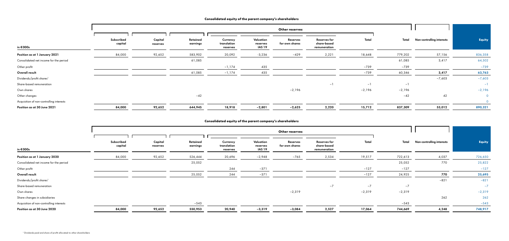|                                          |                       |                     |                      |                                     |                                 | Other reserves             |                                                    |          |          |                           |               |
|------------------------------------------|-----------------------|---------------------|----------------------|-------------------------------------|---------------------------------|----------------------------|----------------------------------------------------|----------|----------|---------------------------|---------------|
|                                          |                       |                     |                      |                                     |                                 |                            |                                                    |          |          |                           |               |
| in €000s                                 | Subscribed<br>capital | Capital<br>reserves | Retained<br>earnings | Currency<br>translation<br>reserves | Valuation<br>reserves<br>IAS 19 | Reserves<br>for own shares | <b>Reserves for</b><br>share-based<br>remuneration | Total    | Total    | Non-controlling interests | <b>Equity</b> |
| Position as at 1 January 2020            | 84,000                | 92,652              | 526,444              | 20,696                              | $-2,948$                        | $-765$                     | 2,534                                              | 19,517   | 722,613  | 4,037                     | 726,650       |
| Consolidated net income for the period   |                       |                     | 25,052               |                                     |                                 |                            |                                                    |          | 25,052   | 770                       | 25,822        |
| Other profit                             |                       |                     |                      | 244                                 | $-371$                          |                            |                                                    | $-127$   | $-127$   |                           | $-127$        |
| Overall result                           |                       |                     | 25,052               | 244                                 | $-371$                          |                            |                                                    | $-127$   | 24,925   | 770                       | 25,695        |
| Dividends/profit shares <sup>1</sup>     |                       |                     |                      |                                     |                                 |                            |                                                    |          |          | $-821$                    | $-821$        |
| Share-based remuneration                 |                       |                     |                      |                                     |                                 |                            | $-7$                                               | $-7$     | $-7$     |                           | $-7$          |
| Own shares                               |                       |                     |                      |                                     |                                 | $-2,319$                   |                                                    | $-2,319$ | $-2,319$ |                           | $-2,319$      |
| Share changes in subsidiaries            |                       |                     |                      |                                     |                                 |                            |                                                    |          |          | 262                       | 262           |
| Acquisition of non-controlling interests |                       |                     | $-543$               |                                     |                                 |                            |                                                    |          | $-543$   |                           | $-543$        |
| Position as at 30 June 2020              | 84,000                | 92,652              | 550,953              | 20,940                              | $-3,319$                        | $-3,084$                   | 2,527                                              | 17,064   | 744,669  | 4,248                     | 748,917       |

# **Consolidated equity of the parent company's shareholders**

|                                          |                       | Other reserves      |                      |                                     |                                        |                            |                                                    |          |          |                           |                |
|------------------------------------------|-----------------------|---------------------|----------------------|-------------------------------------|----------------------------------------|----------------------------|----------------------------------------------------|----------|----------|---------------------------|----------------|
|                                          |                       |                     |                      |                                     |                                        |                            |                                                    |          |          |                           |                |
| in €000s                                 | Subscribed<br>capital | Capital<br>reserves | Retained<br>earnings | Currency<br>translation<br>reserves | Valuation<br>reserves<br><b>IAS 19</b> | Reserves<br>for own shares | <b>Reserves for</b><br>share-based<br>remuneration | Total    | Total    | Non-controlling interests | Equity         |
|                                          |                       |                     |                      |                                     |                                        |                            |                                                    |          |          |                           |                |
| Position as at 1 January 2021            | 84,000                | 92,652              | 583,902              | 20,092                              | $-3,236$                               | $-429$                     | 2,221                                              | 18,648   | 779,202  | 57,156                    | 836,358        |
| Consolidated net income for the period   |                       |                     | 61,085               |                                     |                                        |                            |                                                    |          | 61,085   | 3,417                     | 64,502         |
| Other profit                             |                       |                     |                      | $-1,174$                            | 435                                    |                            |                                                    | $-739$   | $-739$   |                           | $-739$         |
| Overall result                           |                       |                     | 61,085               | $-1,174$                            | 435                                    |                            |                                                    | $-739$   | 60,346   | 3,417                     | 63,763         |
| Dividends/profit shares <sup>1</sup>     |                       |                     |                      |                                     |                                        |                            |                                                    |          |          | $-7,603$                  | $-7,603$       |
| Share-based remuneration                 |                       |                     |                      |                                     |                                        |                            | $-1$                                               | $-1$     | $-1$     |                           | $-1$           |
| Own shares                               |                       |                     |                      |                                     |                                        | -2,196                     |                                                    | $-2,196$ | $-2,196$ |                           | $-2,196$       |
| Other changes                            |                       |                     | $-42$                |                                     |                                        |                            |                                                    |          | $-42$    | 42                        | $\overline{0}$ |
| Acquisition of non-controlling interests |                       |                     |                      |                                     |                                        |                            |                                                    |          |          |                           | $\overline{0}$ |
| Position as at 30 June 2021              | 84,000                | 92,652              | 644,945              | 18,918                              | $-2,801$                               | $-2,625$                   | 2,220                                              | 15,712   | 837,309  | 53,012                    | 890,321        |

# **Consolidated equity of the parent company's shareholders**